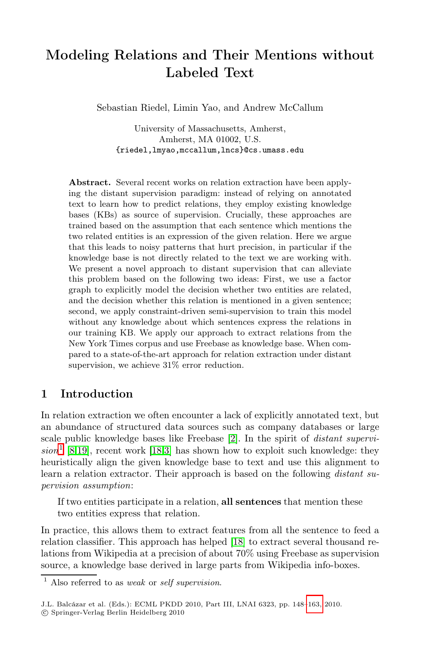# Modeling Relations and Their Mentions without Labeled Text

Sebastian Riedel, Limin Yao, and Andrew McCallum

University of Massachusetts, Amherst, Amherst, MA 01002, U.S. {riedel,lmyao,mccallum,lncs}@cs.umass.edu

Abstract. Several recent works on relation extraction have been applying the distant supervision paradigm: instead of relying on annotated text to learn how to predict relations, they employ existing knowledge bases (KBs) as source of supervision. Crucially, these approaches are trained based on the assumption that each sentence which mentions the two related entities is an expression of the given relation. Here we argue that this leads to noisy patterns that hurt precision, in particular if the knowledge base is not directly related to the text we are working with. We present a novel approach to distant supervision that can alleviate this problem based on the following two ideas: First, we use a factor graph to explicitly model the decision whether two entities are related, and the decision whether this relation is mentioned in a given sentence; second, we apply constraint-driven semi-supervision to train this model without any knowledge about which sentences express the relations in our training KB. We apply our approach to extract relations from the New York Times cor[pu](#page-13-0)s and use Freebase as knowledge base. When compared to a state-of-the-art approach for relation extraction under distant [sup](#page-14-0)[er](#page-13-1)vision, we achieve 31% error reduction.

# 1 Introduction

In relation extraction we often encounter a lack of explicitly annotated text, but an abundance of structured data sources such as company databases or large scale public knowledge bases like Freebase [2]. In the spirit of *distant supervision*<sup>1</sup> [8,19], recent work [\[18,](#page-14-0)3] has shown how to exploit such knowledge: they heuristically align the given knowledge base to text and use this alignment to learn a relation extractor. Their approach is based on the following *distant supervision assumption*:

If two entities participate in a relation, [all](#page-15-0) [se](#page-15-0)ntences that mention these two entities express that relation.

In practice, this allows them to extract features from all the sentence to feed a relation classifier. This approach has helped [18] to extract several thousand relations from Wikipedia at a precision of about 70% using Freebase as supervision source, a knowledge base derived in large parts from Wikipedia info-boxes.

<sup>1</sup> Also referred to as *weak* or *self supervision*.

J.L. Balcázar et al. (Eds.): ECML PKDD 2010, Part III, LNAI 6323, pp. 148–163, 2010. -c Springer-Verlag Berlin Heidelberg 2010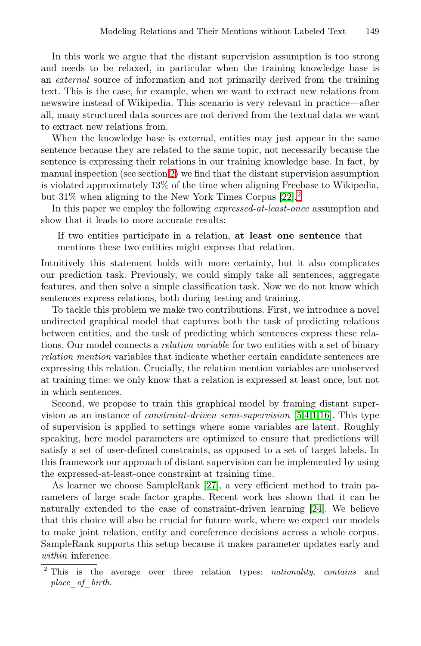In this work we argue that the distant supervision assumption is too strong and needs to be relaxed, in particular when the training knowledge base is an *external* [s](#page-2-0)ource of information and not primarily derived from the training text. This is the case, for example, when we want to extract new relations from newswire instead of Wikipedia. This [sce](#page-15-1)[na](#page-1-0)rio is very relevant in practice—after all, many structured data sources are not derived from the textual data we want to extract new relations from.

When the knowledge base is external, entities may just appear in the same sentence because they are related to the same topic, not necessarily because the sentence is expressing their relations in our training knowledge base. In fact, by manual inspection (see section 2) we find that the distant supervision assumption is violated approximately 13% of the time when aligning Freebase to Wikipedia, but 31% when aligning to the New York Times Corpus [22].<sup>2</sup>

In this paper we employ the following *expressed-at-least-once* assumption and show that it leads to more accurate results:

If two entities participate in a relation, at least one sentence that mentions these two entities might express that relation.

Intuitively this statement holds with more certainty, but it also complicates our prediction task. Previously, we could simply take all sentences, aggregate features, and then solve a simple classification task. Now we do not know which sentences express relations, both during testing and training.

To tackle this problem we make two contributions. First, we introduce a novel undirected graphical model that captur[es](#page-14-1) [b](#page-13-2)[ot](#page-13-3)[h t](#page-14-2)he task of predicting relations between entities, and the task of predicting which sentences express these relations. Our model connects a *relation variable* for two entities with a set of binary *relation mention* variables that indicate whether certain candidate sentences are expressing this relation. Crucially, the relation mention variables are unobserved at training time: we only know that a relation is expressed at least once, but not in which sentences.

Second, we prop[ose](#page-15-2) to train this graphical model by framing distant supervision as an instance of *constraint-driven se[mi-](#page-15-3)supervision* [5,4,1,16]. This type of supervision is applied to settings where some variables are latent. Roughly speaking, here model parameters are optimized to ensure that predictions will satisfy a set of user-defined constraints, as opposed to a set of target labels. In this framework our approach of distant supervision can be implemented by using the expressed-at-least-once constraint at training time.

<span id="page-1-0"></span>As learner we choose SampleRank [27], a very efficient method to train parameters of large scale factor graphs. Recent work has shown that it can be naturally extended to the case of constraint-driven learning [24]. We believe that this choice will also be crucial for future work, where we expect our models to make joint relation, entity and coreference decisions across a whole corpus. SampleRank supports this setup because it makes parameter updates early and *within* inference.

<sup>2</sup> This is the average over three relation types: *nationality*, *contains* and *place\_of\_birth*.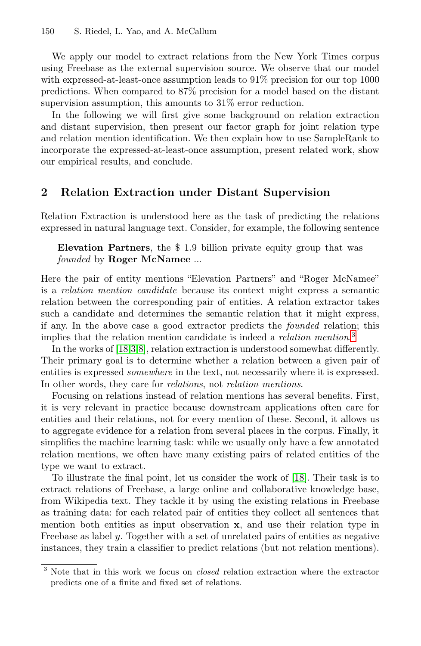We apply our model to extract relations from the New York Times corpus using Freebase as the external supervision source. We observe that our model with expressed-at-least-once assumption leads to  $91\%$  precision for our top 1000 predictions. When compared to 87% precision for a model based on the distant supervision assumption, this amounts to 31% error reduction.

<span id="page-2-0"></span>In the following we will first give some background on relation extraction and distant supervision, then present our factor graph for joint relation type and relation mention identification. We then explain how to use SampleRank to incorporate the expressed-at-least-once assumption, present related work, show our empirical results, and conclude.

# 2 Relation Extraction under Distant Supervision

Relation Extraction is understood here as the task of predicting the relations expressed in natural language text. Consider, for example, the following sentence

Elevation Partners, the \$ 1.9 billion private [equ](#page-2-1)ity group that was *[fo](#page-14-3)unded* by Roger McNamee ...

Here the pair of entity mentions "Elevation Partners" and "Roger McNamee" is a *relation mention candidate* because its context might express a semantic relation between the corresponding pair of entities. A relation extractor takes such a candidate and determines the semantic relation that it might express, if any. In the above case a good extractor predicts the *founded* relation; this implies that the relation mention candidate is indeed a *relation mention*. 3

In the works of [18,3,8], relation extraction is understood somewhat differently. Their primary goal is to determine whether a relation between a given pair of entities is expressed *somewhere* in the text, not necessarily where it is expressed. In other words, they care for *relations*, [not](#page-14-0) *relation mentions*.

Focusing on relations instead of relation mentions has several benefits. First, it is very relevant in practice because downstream applications often care for entities and their relations, not for every mention of these. Second, it allows us to aggregate evidence for a relation from several places in the corpus. Finally, it simplifies the machine learning task: while we usually only have a few annotated relation mentions, we often have many existing pairs of related entities of the type we want to extract.

<span id="page-2-1"></span>To illustrate the final point, let us consider the work of [18]. Their task is to extract relations of Freebase, a large online and collaborative knowledge base, from Wikipedia text. They tackle it by using the existing relations in Freebase as training data: for each related pair of entities they collect all sentences that mention both entities as input observation **x**, and use their relation type in Freebase as label y. Together with a set of unrelated pairs of entities as negative instances, they train a classifier to predict relations (but not relation mentions).

<sup>3</sup> Note that in this work we focus on *closed* relation extraction where the extractor predicts one of a finite and fixed set of relations.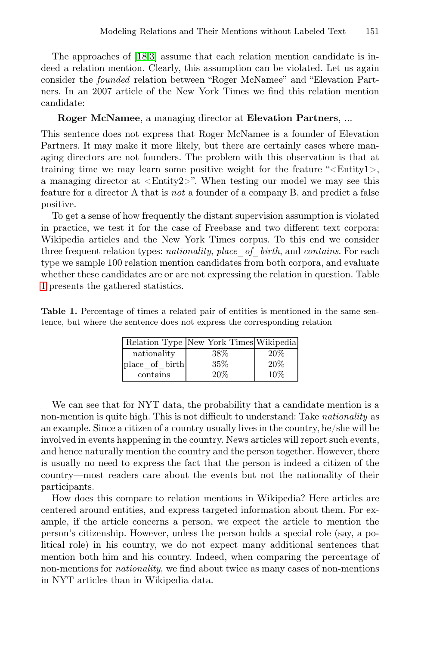The approaches of [18,3] assume that each relation mention candidate is indeed a relation mention. Clearly, this assumption can be violated. Let us again consider the *founded* relation between "Roger McNamee" and "Elevation Partners. In an 2007 article of the New York Times we find this relation mention candidate:

## Roger McNamee, a managing director at Elevation Partners, ...

This sentence does not express that Roger McNamee is a founder of Elevation Partners. It may make it more likely, but there are certainly cases where managing directors are not founders. The problem with this observation is that at training time we may learn some positive weight for the feature "<Entity1>, a managing director at  $\leq$ Entity2 $\geq$ ". When testing our model we may see this feature for a director A that is *not* a founder of a company B, and predict a false positive.

To get a sense of how frequently the distant supervision assumption is violated in practice, we test it for the case of Freebase and two different text corpora: Wikipedia articles and the New York Times corpus. To this end we consider three frequent relation types: *nationality*, *place\_of\_birth*, and *contains*. For each type we sample 100 relation mention candidates from both corpora, and evaluate whether these candidates are or are not expressing the relation in question. Table 1 presents the gathered statistics.

Table 1. Percentage of times a related pair of entities is mentioned in the same sentence, but where the sentence does not express the corresponding relation

|                | Relation Type New York Times Wikipedia |      |
|----------------|----------------------------------------|------|
| nationality    | 38\%                                   | 20%  |
| place of birth | 35%                                    | 20%  |
| contains       | 20%                                    | 10\% |

We can see that for NYT data, the probability that a candidate mention is a non-mention is quite high. This is not difficult to understand: Take *nationality* as an example. Since a citizen of a country usually lives in the country, he/she will be involved in events happening in the country. News articles will report such events, and hence naturally mention the country and the person together. However, there is usually no need to express the fact that the person is indeed a citizen of the country—most readers care about the events but not the nationality of their participants.

How does this compare to relation mentions in Wikipedia? Here articles are centered around entities, and express targeted information about them. For example, if the article concerns a person, we expect the article to mention the person's citizenship. However, unless the person holds a special role (say, a political role) in his country, we do not expect many additional sentences that mention both him and his country. Indeed, when comparing the percentage of non-mentions for *nationality*, we find about twice as many cases of non-mentions in NYT articles than in Wikipedia data.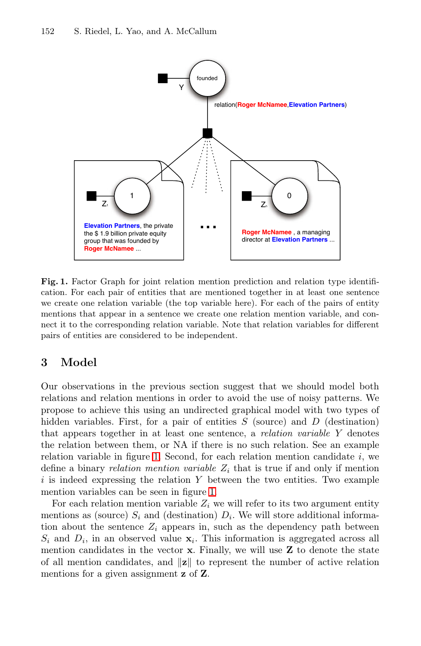

<span id="page-4-1"></span><span id="page-4-0"></span>Fig. 1. Factor Graph for joint relation mention prediction and relation type identification. For each pair of entities that are mentioned together in at least one sentence we create one relation variable (the top variable here). For each of the pairs of entity mentions that appear in a sentence we create one relation mention variable, and connect it to the corresponding relation variable. Note that relation variables for different pairs of entities are considered to be independent.

# 3 [Mo](#page-4-0)del

Our observations in the previous section suggest that we should model both relations and relatio[n](#page-4-0) mentions in order to avoid the use of noisy patterns. We propose to achieve this using an undirected graphical model with two types of hidden variables. First, for a pair of entities  $S$  (source) and  $D$  (destination) that appears together in at least one sentence, a *relation variable* Y denotes the relation between them, or NA if there is no such relation. See an example relation variable in figure 1. Second, for each relation mention candidate  $i$ , we define a binary *relation mention variable* Z*<sup>i</sup>* that is true if and only if mention  $i$  is indeed expressing the relation Y between the two entities. Two example mention variables can be seen in figure 1.

For each relation mention variable  $Z_i$  we will refer to its two argument entity mentions as (source)  $S_i$  and (destination)  $D_i$ . We will store additional information about the sentence  $Z_i$  appears in, such as the dependency path between  $S_i$  and  $D_i$ , in an observed value  $\mathbf{x}_i$ . This information is aggregated across all mention candidates in the vector **x**. Finally, we will use **Z** to denote the state of all mention candidates, and  $\|\mathbf{z}\|$  to represent the number of active relation mentions for a given assignment **z** of **Z**.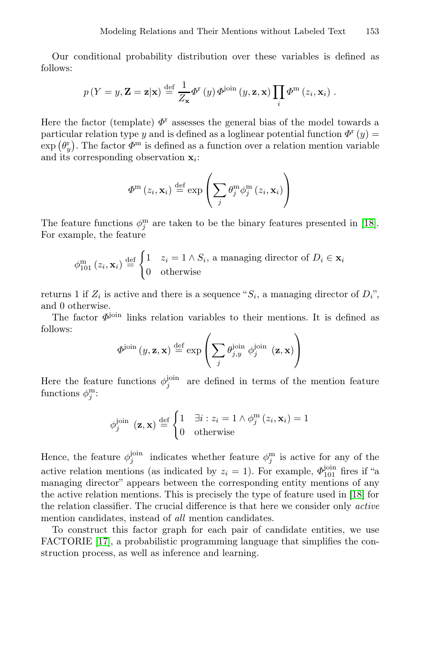Our conditional probability distribution over these variables is defined as follows:

$$
p(Y = y, \mathbf{Z} = \mathbf{z}|\mathbf{x}) \stackrel{\text{def}}{=} \frac{1}{Z_{\mathbf{x}}} \Phi^{\mathrm{r}}(y) \Phi^{\mathrm{join}}(y, \mathbf{z}, \mathbf{x}) \prod_{i} \Phi^{\mathrm{m}}(z_i, \mathbf{x}_i) .
$$

Here the factor (template)  $\Phi^r$  assesses the general bias of the model towards a particular relation type y and is defined as a loglinear pot[ent](#page-14-0)ial function  $\Phi^{\rm r}(y)$  =  $\exp\left(\theta_y^{\text{r}}\right)$ . The factor  $\Phi^{\text{m}}$  is defined as a function over a relation mention variable and its corresponding observation **x***i*:

$$
\Phi^{\mathbf{m}}\left(z_{i}, \mathbf{x}_{i}\right) \stackrel{\text{def}}{=} \exp\left(\sum_{j} \theta_{j}^{\mathbf{m}} \phi_{j}^{\mathbf{m}}\left(z_{i}, \mathbf{x}_{i}\right)\right)
$$

The feature functions  $\phi_j^{\text{m}}$  are taken to be the binary features presented in [18]. For example, the feature

$$
\phi_{101}^{\mathbf{m}}\left(z_{i}, \mathbf{x}_{i}\right) \stackrel{\text{def}}{=} \begin{cases} 1 & z_{i} = 1 \land S_{i}, \text{ a managing director of } D_{i} \in \mathbf{x}_{i} \\ 0 & \text{otherwise} \end{cases}
$$

returns 1 if  $Z_i$  is active and there is a sequence " $S_i$ , a managing director of  $D_i$ ", and 0 otherwise.

The factor  $\Phi^{\text{join}}$  links relation variables to their mentions. It is defined as follows:

$$
\varPhi^{\text{join}}(y, \mathbf{z}, \mathbf{x}) \stackrel{\text{def}}{=} \exp\left(\sum_{j} \theta_{j, y}^{\text{join}} \phi_{j}^{\text{join}}(\mathbf{z}, \mathbf{x})\right)
$$

Here the feature functions  $\phi_j^{\text{join}}$  are defined in terms of the mention feature functions  $\phi_j^m$ :

$$
\phi_j^{\text{join}}\ (\mathbf{z}, \mathbf{x}) \stackrel{\text{def}}{=} \begin{cases} 1 & \exists i : z_i = 1 \land \phi_j^{\text{m}}(z_i, \mathbf{x}_i) = 1 \\ 0 & \text{otherwise} \end{cases}
$$

Hence, the feature  $\phi_j^{\text{join}}$  indicates whether feature  $\phi_j^{\text{m}}$  is active for any of the active relation mentions (as indicated by  $z_i = 1$ ). For example,  $\Phi_{101}^{\text{join}}$  fires if "a managing director" appears between the corresponding entity mentions of any the active relation mentions. This is precisely the type of feature used in [18] for the relation classifier. The crucial difference is that here we consider only *active* mention candidates, instead of *all* mention candidates.

To construct this factor graph for each pair of candidate entities, we use FACTORIE [17], a probabilistic programming language that simplifies the construction process, as well as inference and learning.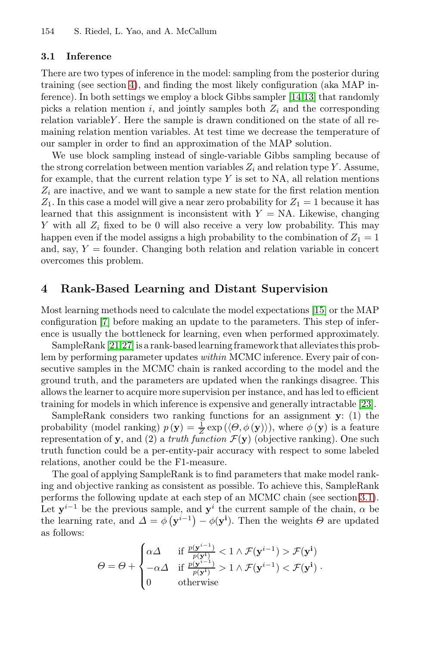#### <span id="page-6-0"></span>3.1 Inference

There are two types of inference in the model: sampling from the posterior during training (see section 4), and finding the most likely configuration (aka MAP inference). In both settings we employ a block Gibbs sampler [14,13] that randomly picks a relation mention  $i$ , and jointly samples both  $Z_i$  and the corresponding relation variableY. Here the sample is drawn conditioned on the state of all remaining relation mention variables. At test time we decrease the temperature of our sampler in order to find an approximation of the MAP solution.

We use block sampling instead of single-variable Gibbs sampling because of the strong correlation between mention variables  $Z_i$  and relation type Y. Assume, for example, that the current relation type  $Y$  is set to NA, all relation mentions  $Z_i$  are inactive, and we want to sample a new state for the first relation mention  $Z_1$ . In this case a model will give a near zero probability for  $Z_1 = 1$  because it has learned that this assignment is inconsistent with  $Y = NA$ . Likewise, changing Y with [a](#page-14-4)ll  $Z_i$  fixed to be 0 will also receive a very low probability. This may happen even if the model assigns a high probability to the combination of  $Z_1 = 1$ and, say,  $Y =$  founder. Changing both relation and relation variable in concert [ove](#page-15-2)rcomes this problem.

# 4 Rank-Based Learning and Distant Supervision

Most learning methods need to calculate the model expe[ctat](#page-15-4)ions [15] or the MAP configuration [7] before making an update to the parameters. This step of inference is usually the bottleneck for learning, even when performed approximately.

SampleRank [21,27] is a rank-based learning framework that alleviates this problem by performing parameter updates *within* MCMC inference. Every pair of consecutive samples in the MCMC chain is ranked according to the model and the ground truth, and the parameters are updated when the rankings disagree. This allows the learner to acquire more supervision per instance, and has led to efficient training for models in which inference is expensive and g[enera](#page-6-0)lly intractable [23].

SampleRank considers two ranking functions for an assignment **y**: (1) the probability (model ranking)  $p(\mathbf{y}) = \frac{1}{Z} \exp (\langle \Theta, \phi(\mathbf{y}) \rangle)$ , where  $\phi(\mathbf{y})$  is a feature representation of **y**, and (2) a *truth function*  $\mathcal{F}(\mathbf{y})$  (objective ranking). One such truth function could be a per-entity-pair accuracy with respect to some labeled relations, another could be the F1-measure.

The goal of applying SampleRank is to find parameters that make model ranking and objective ranking as consistent as possible. To achieve this, SampleRank performs the following update at each step of an MCMC chain (see section 3.1). Let  $y^{i-1}$  be the previous sample, and  $y^i$  the current sample of the chain,  $\alpha$  be the learning rate, and  $\Delta = \phi(\mathbf{y}^{i-1}) - \phi(\mathbf{y}^i)$ . Then the weights  $\Theta$  are updated as follows:

$$
\Theta = \Theta + \begin{cases} \alpha \Delta & \text{if } \frac{p(\mathbf{y}^{i-1})}{p(\mathbf{y}^i)} < 1 \land \mathcal{F}(\mathbf{y}^{i-1}) > \mathcal{F}(\mathbf{y}^i) \\ -\alpha \Delta & \text{if } \frac{p(\mathbf{y}^{i-1})}{p(\mathbf{y}^i)} > 1 \land \mathcal{F}(\mathbf{y}^{i-1}) < \mathcal{F}(\mathbf{y}^i) \\ 0 & \text{otherwise} \end{cases}.
$$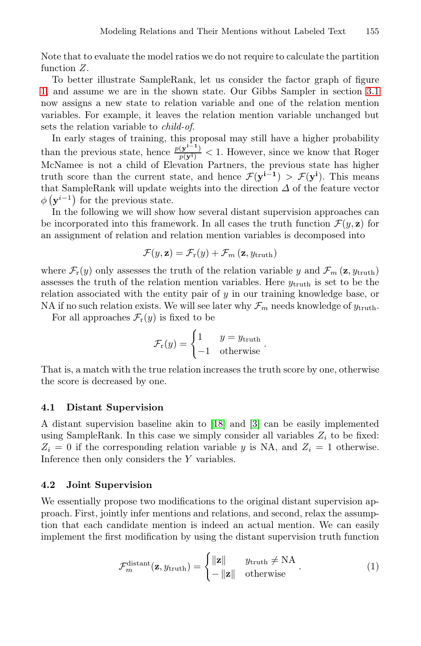Note that to evaluate the model ratios we do not require to calculate the partition function Z.

To better illustrate SampleRank, let us consider the factor graph of figure 1, and assume we are in the shown state. Our Gibbs Sampler in section 3.1 now assigns a new state to relation variable and one of the relation mention variables. For example, it leaves the relation mention variable unchanged but sets the relation variable to *child-of*.

In early stages of training, this proposal may still have a higher probability than the previous state, hence  $\frac{p(\mathbf{y}^{i-1})}{p(\mathbf{y}^i)} < 1$ . However, since we know that Roger McNamee is not a child of Elevation Partners, the previous state has higher truth score than the current state, and hence  $\mathcal{F}(\mathbf{y}^{\mathbf{i}-1}) > \mathcal{F}(\mathbf{y}^{\mathbf{i}})$ . This means that SampleRank will update weights into the direction  $\Delta$  of the feature vector  $\phi(\mathbf{y}^{i-1})$  for the previous state.

In the following we will show how several distant supervision approaches can be incorporated into this framework. In all cases the truth function  $\mathcal{F}(y, z)$  for an assignment of relation and relation mention variables is decomposed into

$$
\mathcal{F}(y, \mathbf{z}) = \mathcal{F}_{\mathrm{r}}(y) + \mathcal{F}_{m}(\mathbf{z}, y_{\mathrm{truth}})
$$

where  $\mathcal{F}_r(y)$  only assesses the truth of the relation variable y and  $\mathcal{F}_m(z, y_{truth})$ assesses the truth of the relation mention variables. Here  $y_{truth}$  is set to be the relation associated with the entity pair of  $y$  in our training knowledge base, or NA if no such relation exists. We will see later why  $\mathcal{F}_m$  needs knowledge of  $y_{\text{truth}}$ .

For all approaches  $\mathcal{F}_r(y)$  is fixed to be

$$
\mathcal{F}_{\rm r}(y) = \begin{cases} 1 & y = y_{\rm truth} \\ -1 & \text{otherwise} \end{cases}.
$$

That is, a match with the true relation increases the truth score by one, otherwise the score is decreased by one.

## 4.1 Distant Supervision

A distant supervision baseline akin to [18] and [3] can be easily implemented using SampleRank. In this case we simply consider all variables  $Z_i$  to be fixed:  $Z_i = 0$  if the corresponding relation variable y is NA, and  $Z_i = 1$  otherwise. Inference then only considers the Y variables.

#### 4.2 Joint Supervision

We essentially propose two modifications to the original distant supervision approach. First, jointly infer mentions and relations, and second, relax the assumption that each candidate mention is indeed an actual mention. We can easily implement the first modification by using the distant supervision truth function

$$
\mathcal{F}_{m}^{\text{distant}}(\mathbf{z}, y_{\text{truth}}) = \begin{cases} \|\mathbf{z}\| & y_{\text{truth}} \neq \text{NA} \\ -\|\mathbf{z}\| & \text{otherwise} \end{cases} . \tag{1}
$$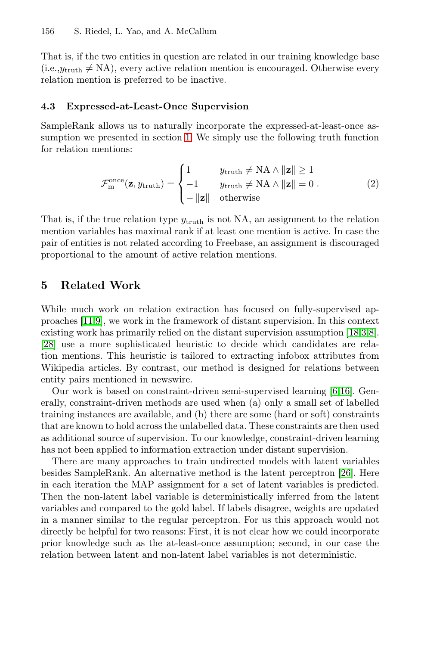That is, if the two entities in question are related in our training knowledge base  $(i.e., y_{truth} \neq NA)$ , every active relation mention is encouraged. Otherwise every relation mention is preferred to be inactive.

### 4.3 Expressed-at-Least-Once Supervision

SampleRank allows us to naturally incorporate the expressed-at-least-once assumption we presented in section 1. We simply use the following truth function for relation mentions:

$$
\mathcal{F}_{\rm m}^{\rm once}(\mathbf{z}, y_{\rm truth}) = \begin{cases} 1 & y_{\rm truth} \neq \mathrm{NA} \wedge ||\mathbf{z}|| \geq 1 \\ -1 & y_{\rm truth} \neq \mathrm{NA} \wedge ||\mathbf{z}|| = 0 \\ -||\mathbf{z}|| & \text{otherwise} \end{cases}
$$
(2)

That is, if the true relation type  $y_{\text{truth}}$  is not NA, an assignment to the relation mention variables has maximal rank if at least one mention is active. In case the pair of entities is not related according to Freebase, a[n as](#page-14-0)[si](#page-13-1)[gn](#page-14-3)ment is discouraged proportional to the amount of active relation mentions.

# 5 Related Work

While much work on relation extraction has fo[cu](#page-14-5)[sed](#page-14-2) on fully-supervised approaches [11,9], we work in the framework of distant supervision. In this context existing work has primarily relied on the distant supervision assumption [18,3,8]. [28] use a more sophisticated heuristic to decide which candidates are relation mentions. This heuristic is tailored to extracting infobox attributes from Wikipedia articles. By contrast, our method is designed for relations between entity pairs mentioned in newswire.

Our work is based on constraint-driven semi-sup[erv](#page-15-5)ised learning [6,16]. Generally, constraint-driven methods are used when (a) only a small set of labelled training instances are available, and (b) there are some (hard or soft) constraints that are known to hold across the unlabelled data. These constraints are then used as additional source of supervision. To our knowledge, constraint-driven learning has not been applied to information extraction under distant supervision.

There are many approaches to train undirected models with latent variables besides SampleRank. An alternative method is the latent perceptron [26]. Here in each iteration the MAP assignment for a set of latent variables is predicted. Then the non-latent label variable is deterministically inferred from the latent variables and compared to the gold label. If labels disagree, weights are updated in a manner similar to the regular perceptron. For us this approach would not directly be helpful for two reasons: First, it is not clear how we could incorporate prior knowledge such as the at-least-once assumption; second, in our case the relation between latent and non-latent label variables is not deterministic.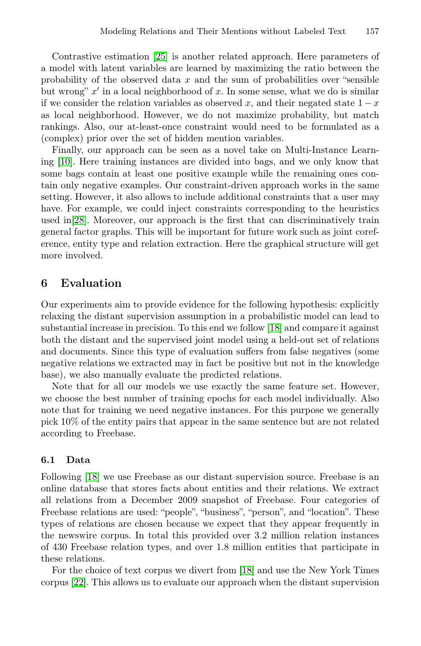Contrastive estimation [25] is another related approach. Here parameters of a model with latent variables are learned by maximizing the ratio between the probability of the observed data  $x$  and the sum of probabilities over "sensible but wrong"  $x'$  in a local neighborhood of x. In some sense, what we do is similar if we consider the relation variables as observed x, and their negated state  $1 - x$ as local neighborhood. However, we do not maximize probability, but match rankings. Also, our at-least-once constraint would need to be formulated as a (complex) prior over the set of hidden mention variables.

Finally, our approach can be seen as a novel take on Multi-Instance Learning [10]. Here training instances are divided into bags, and we only know that some bags contain at least one positive example while the remaining ones contain only negative examples. Our constraint-driven approach works in the same setting. However, it also allows to include additional constraints that a user may have. For example, we could inject constraints corresponding to the heuristics used in[28]. Moreover, our approach is the first that can discriminatively train general factor graphs. This will be [imp](#page-14-0)ortant for future work such as joint coreference, entity type and relation extraction. Here the graphical structure will get more involved.

# 6 Evaluation

Our experiments aim to provide evidence for the following hypothesis: explicitly relaxing the distant supervision assumption in a probabilistic model can lead to substantial increase in precision. To this end we follow [18] and compare it against both the distant and the supervised joint model using a held-out set of relations and documents. Since this type of evaluation suffers from false negatives (some negative relations we extracted may in fact be positive but not in the knowledge base), we also manually evaluate the predicted relations.

Note that for all our models we use exactly the same feature set. However, we choose the best number of training epochs for each model individually. Also note that for training we need negative instances. For this purpose we generally pick 10% of the entity pairs that appear in the same sentence but are not related according to Freebase.

## 6.1 Data

Following [18] we use Freeb[ase](#page-14-0) as our distant supervision source. Freebase is an online database that stores facts about entities and their relations. We extract all relations from a December 2009 snapshot of Freebase. Four categories of Freebase relations are used: "people", "business", "person", and "location". These types of relations are chosen because we expect that they appear frequently in the newswire corpus. In total this provided over 3.2 million relation instances of 430 Freebase relation types, and over 1.8 million entities that participate in these relations.

For the choice of text corpus we divert from [18] and use the New York Times corpus [22]. This allows us to evaluate our approach when the distant supervision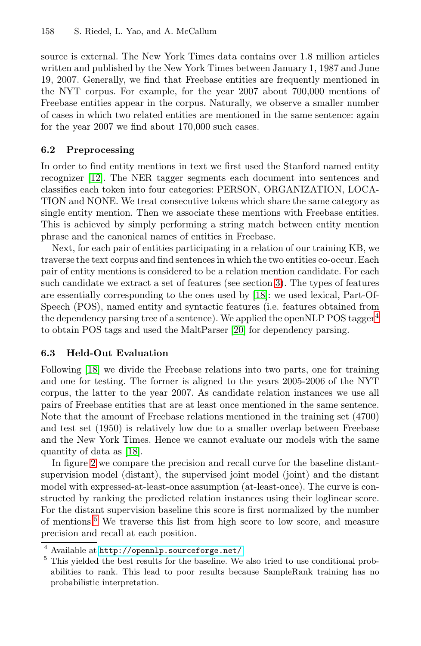source is external. The New York Times data contains over 1.8 million articles written and published by the New York Times between January 1, 1987 and June 19, 2007. Generally, we find that Freebase entities are frequently mentioned in the NYT corpus. For example, for the year 2007 about 700,000 mentions of Freebase entities appear in the corpus. Naturally, we observe a smaller number of cases in which two related entities are mentioned in the same sentence: again for the year 2007 we find about 170,000 such cases.

## 6.2 Preprocessing

In order to find entity mentions in text we first used the Stanford named entity recognizer [12]. The NER tagger segments each document into sentences and classifies each token into four categ[or](#page-4-1)ies: PERSON, ORGANIZATION, LOCA-TION and NONE. We treat co[nsec](#page-14-0)utive tokens which share the same category as single entity mention. Then we associate these mentions with Freebase entities. This is achieved by simply performing a string match bet[we](#page-10-0)en entity mention phrase and the canonical [nam](#page-14-6)es of entities in Freebase.

<span id="page-10-1"></span>Next, for each pair of entities participating in a relation of our training KB, we traverse the text corpus and find sentences in which the two entities co-occur. Each pair of entity mentions is considered to be a relation mention candidate. For each such candidate we extract a set of features (see section 3). The types of features are essentially corresponding to the ones used by [18]: we used lexical, Part-Of-Speech (POS), named entity and syntactic features (i.e. features obtained from the dependency parsing tree of a sentence). We applied the openNLP POS tagger<sup>4</sup> to obtain POS tags and used the MaltParser [20] for dependency parsing.

# [6.3](#page-14-0) Held-Out Evaluation

Following [18] we divide the Freebase relations into two parts, one for training and one for testing. The former is aligned to the years 2005-2006 of the NYT corpus, the latter to the year 2007. As candidate relation instances we use all pairs of Freebase entities that are at least once mentioned in the same sentence. Note that the amount of Freebase relations mentioned in the training set (4700) and test set (1950) is relatively low due to a smaller overlap between Freebase and the New York Times. Hence we cannot evaluate our models with the same quantity of data as [18].

<span id="page-10-0"></span>[In figure 2 we compare the](http://opennlp.sourceforge.net/) precision and recall curve for the baseline distantsupervision model (distant), the supervised joint model (joint) and the distant model with expressed-at-least-once assumption (at-least-once). The curve is constructed by ranking the predicted relation instances using their loglinear score. For the distant supervision baseline this score is first normalized by the number of mentions.<sup>5</sup> We traverse this list from high score to low score, and measure precision and recall at each position.

<sup>4</sup> Available at http://opennlp.sourceforge.net/

<sup>5</sup> This yielded the best results for the baseline. We also tried to use conditional probabilities to rank. This lead to poor results because SampleRank training has no probabilistic interpretation.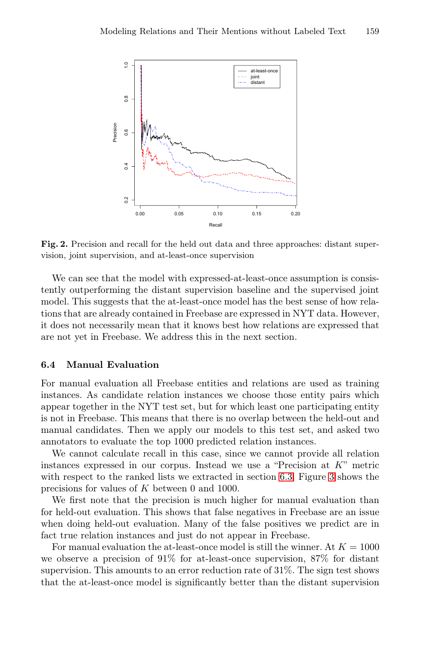

Fig. 2. Precision and recall for the held out data and three approaches: distant supervision, joint supervision, and at-least-once supervision

We can see that the model with expressed-at-least-once assumption is consistently outperforming the distant supervision baseline and the supervised joint model. This suggests that the at-least-once model has the best sense of how relations that are already contained in Freebase are expressed in NYT data. However, it does not necessarily mean that it knows best how relations are expressed that are not yet in Freebase. We address this in the next section.

### 6.4 Manual Evaluation

For manual evaluation all Freebase [enti](#page-10-1)ties and [r](#page-12-0)elations are used as training instances. As candidate relation instances we choose those entity pairs which appear together in the NYT test set, but for which least one participating entity is not in Freebase. This means that there is no overlap between the held-out and manual candidates. Then we apply our models to this test set, and asked two annotators to evaluate the top 1000 predicted relation instances.

We cannot calculate recall in this case, since we cannot provide all relation instances expressed in our corpus. Instead we use a "Precision at  $K$ " metric with respect to the ranked lists we extracted in section 6.3. Figure 3 shows the precisions for values of K between 0 and 1000.

We first note that the precision is much higher for manual evaluation than for held-out evaluation. This shows that false negatives in Freebase are an issue when doing held-out evaluation. Many of the false positives we predict are in fact true relation instances and just do not appear in Freebase.

For manual evaluation the at-least-once model is still the winner. At  $K = 1000$ we observe a precision of 91% for at-least-once supervision, 87% for distant supervision. This amounts to an error reduction rate of 31%. The sign test shows that the at-least-once model is significantly better than the distant supervision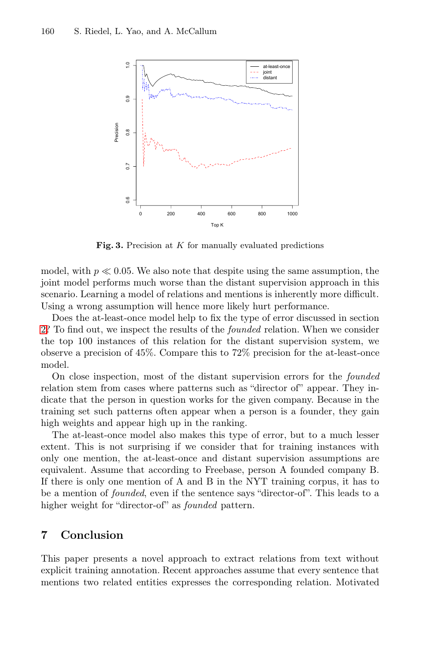

<span id="page-12-0"></span>Fig. 3. Precision at *<sup>K</sup>* for manually evaluated predictions

model, with  $p \ll 0.05$ . We also note that despite using the same assumption, the joint model performs much worse than the distant supervision approach in this scenario. Learning a model of relations and mentions is inherently more difficult. Using a wrong assumption will hence more likely hurt performance.

Does the at-least-once model help to fix the type of error discussed in section 2? To find out, we inspect the results of the *founded* relation. When we consider the top 100 instances of this relation for the distant supervision system, we observe a precision of 45%. Compare this to 72% precision for the at-least-once model.

On close inspection, most of the distant supervision errors for the *founded* relation stem from cases where patterns such as "director of" appear. They indicate that the person in question works for the given company. Because in the training set such patterns often appear when a person is a founder, they gain high weights and appear high up in the ranking.

The at-least-once model also makes this type of error, but to a much lesser extent. This is not surprising if we consider that for training instances with only one mention, the at-least-once and distant supervision assumptions are equivalent. Assume that according to Freebase, person A founded company B. If there is only one mention of A and B in the NYT training corpus, it has to be a mention of *founded*, even if the sentence says "director-of". This leads to a higher weight for "director-of" as *founded* pattern.

# 7 Conclusion

This paper presents a novel approach to extract relations from text without explicit training annotation. Recent approaches assume that every sentence that mentions two related entities expresses the corresponding relation. Motivated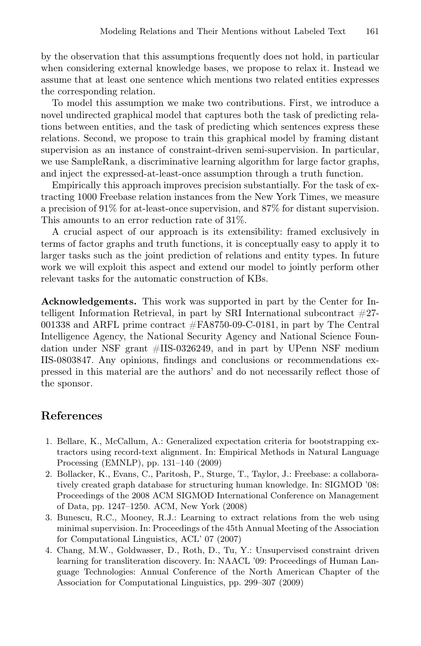by the observation that this assumptions frequently does not hold, in particular when considering external knowledge bases, we propose to relax it. Instead we assume that at least one sentence which mentions two related entities expresses the corresponding relation.

To model this assumption we make two contributions. First, we introduce a novel undirected graphical model that captures both the task of predicting relations between entities, and the task of predicting which sentences express these relations. Second, we propose to train this graphical model by framing distant supervision as an instance of constraint-driven semi-supervision. In particular, we use SampleRank, a discriminative learning algorithm for large factor graphs, and inject the expressed-at-least-once assumption through a truth function.

Empirically this approach improves precision substantially. For the task of extracting 1000 Freebase relation instances from the New York Times, we measure a precision of 91% for at-least-once supervision, and 87% for distant supervision. This amounts to an error reduction rate of 31%.

A crucial aspect of our approach is its extensibility: framed exclusively in terms of factor graphs and truth functions, it is conceptually easy to apply it to larger tasks such as the joint prediction of relations and entity types. In future work we will exploit this aspect and extend our model to jointly perform other relevant tasks for the automatic construction of KBs.

Acknowledgements. This work was supported in part by the Center for Intelligent Information Retrieval, in part by SRI International subcontract  $#27$ -001338 and ARFL prime contract  $\#\text{FA8750-09-C-0181}$ , in part by The Central Intelligence Agency, the National Security Agency and National Science Foundation under NSF grant #IIS-0326249, and in part by UPenn NSF medium IIS-0803847. Any opinions, findings and conclusions or recommendations expressed in this material are the authors' and do not necessarily reflect those of the sponsor.

# References

- <span id="page-13-3"></span>1. Bellare, K., McCallum, A.: Generalized expectation criteria for bootstrapping extractors using record-text alignment. In: Empirical Methods in Natural Language Processing (EMNLP), pp. 131–140 (2009)
- <span id="page-13-0"></span>2. Bollacker, K., Evans, C., Paritosh, P., Sturge, T., Taylor, J.: Freebase: a collaboratively created graph database for structuring human knowledge. In: SIGMOD '08: Proceedings of the 2008 ACM SIGMOD International Conference on Management of Data, pp. 1247–1250. ACM, New York (2008)
- <span id="page-13-1"></span>3. Bunescu, R.C., Mooney, R.J.: Learning to extract relations from the web using minimal supervision. In: Proceedings of the 45th Annual Meeting of the Association for Computational Linguistics, ACL' 07 (2007)
- <span id="page-13-2"></span>4. Chang, M.W., Goldwasser, D., Roth, D., Tu, Y.: Unsupervised constraint driven learning for transliteration discovery. In: NAACL '09: Proceedings of Human Language Technologies: Annual Conference of the North American Chapter of the Association for Computational Linguistics, pp. 299–307 (2009)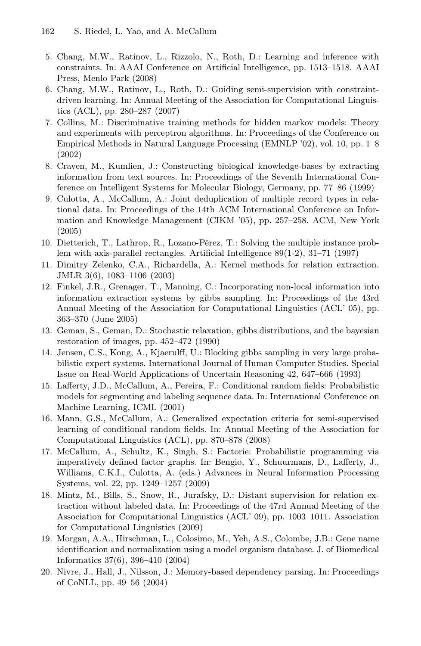- <span id="page-14-1"></span>5. Chang, M.W., Ratinov, L., Rizzolo, N., Roth, D.: Learning and inference with constraints. In: AAAI Conference on Artificial Intelligence, pp. 1513–1518. AAAI Press, Menlo Park (2008)
- <span id="page-14-5"></span>6. Chang, M.W., Ratinov, L., Roth, D.: Guiding semi-supervision with constraintdriven learning. In: Annual Meeting of the Association for Computational Linguistics (ACL), pp. 280–287 (2007)
- 7. Collins, M.: Discriminative training methods for hidden markov models: Theory and experiments with perceptron algorithms. In: Proceedings of the Conference on Empirical Methods in Natural Language Processing (EMNLP '02), vol. 10, pp. 1–8 (2002)
- <span id="page-14-3"></span>8. Craven, M., Kumlien, J.: Constructing biological knowledge-bases by extracting information from text sources. In: Proceedings of the Seventh International Conference on Intelligent Systems for Molecular Biology, Germany, pp. 77–86 (1999)
- 9. Culotta, A., McCallum, A.: Joint deduplication of multiple record types in relational data. In: Proceedings of the 14th ACM International Conference on Information and Knowledge Management (CIKM '05), pp. 257–258. ACM, New York (2005)
- 10. Dietterich, T., Lathrop, R., Lozano-Pérez, T.: Solving the multiple instance problem with axis-parallel rectangles. Artificial Intelligence 89(1-2), 31–71 (1997)
- 11. Dimitry Zelenko, C.A., Richardella, A.: Kernel methods for relation extraction. JMLR 3(6), 1083–1106 (2003)
- 12. Finkel, J.R., Grenager, T., Manning, C.: Incorporating non-local information into information extraction systems by gibbs sampling. In: Proceedings of the 43rd Annual Meeting of the Association for Computational Linguistics (ACL' 05), pp. 363–370 (June 2005)
- 13. Geman, S., Geman, D.: Stochastic relaxation, gibbs distributions, and the bayesian restoration of images, pp. 452–472 (1990)
- 14. Jensen, C.S., Kong, A., Kjaerulff, U.: Blocking gibbs sampling in very large probabilistic expert systems. International Journal of Human Computer Studies. Special Issue on Real-World Applications of Uncertain Reasoning 42, 647–666 (1993)
- <span id="page-14-4"></span>15. Lafferty, J.D., McCallum, A., Pereira, F.: Conditional random fields: Probabilistic models for segmenting and labeling sequence data. In: International Conference on Machine Learning, ICML (2001)
- <span id="page-14-2"></span>16. Mann, G.S., McCallum, A.: Generalized expectation criteria for semi-supervised learning of conditional random fields. In: Annual Meeting of the Association for Computational Linguistics (ACL), pp. 870–878 (2008)
- 17. McCallum, A., Schultz, K., Singh, S.: Factorie: Probabilistic programming via imperatively defined factor graphs. In: Bengio, Y., Schuurmans, D., Lafferty, J., Williams, C.K.I., Culotta, A. (eds.) Advances in Neural Information Processing Systems, vol. 22, pp. 1249–1257 (2009)
- <span id="page-14-0"></span>18. Mintz, M., Bills, S., Snow, R., Jurafsky, D.: Distant supervision for relation extraction without labeled data. In: Proceedings of the 47rd Annual Meeting of the Association for Computational Linguistics (ACL' 09), pp. 1003–1011. Association for Computational Linguistics (2009)
- 19. Morgan, A.A., Hirschman, L., Colosimo, M., Yeh, A.S., Colombe, J.B.: Gene name identification and normalization using a model organism database. J. of Biomedical Informatics 37(6), 396–410 (2004)
- <span id="page-14-6"></span>20. Nivre, J., Hall, J., Nilsson, J.: Memory-based dependency parsing. In: Proceedings of CoNLL, pp. 49–56 (2004)